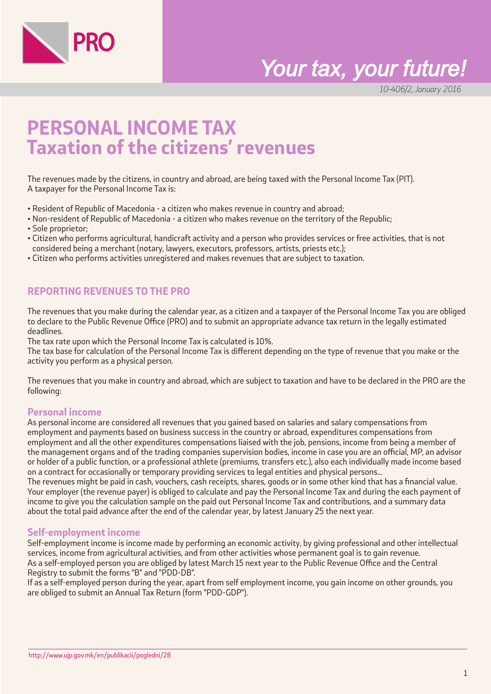

# *Your tax, your future!*

10-406/2, January 2016

# **PERSONAL INCOME TAX Taxation of the citizens' revenues**

The revenues made by the citizens, in country and abroad, are being taxed with the Personal Income Tax (PIT). A taxpayer for the Personal Income Tax is:

- Resident of Republic of Macedonia a citizen who makes revenue in country and abroad;
- Non-resident of Republic of Macedonia a citizen who makes revenue on the territory of the Republic;
- Sole proprietor;
- Citizen who performs agricultural, handicraft activity and a person who provides services or free activities, that is not considered being a merchant (notary, lawyers, executors, professors, artists, priests etc.);
- Citizen who performs activities unregistered and makes revenues that are subject to taxation.

# **REPORTING REVENUES TO THE PRO**

The revenues that you make during the calendar year, as a citizen and a taxpayer of the Personal Income Tax you are obliged to declare to the Public Revenue Office (PRO) and to submit an appropriate advance tax return in the legally estimated deadlines.

The tax rate upon which the Personal Income Tax is calculated is 10%.

The tax base for calculation of the Personal Income Tax is different depending on the type of revenue that you make or the activity you perform as a physical person.

The revenues that you make in country and abroad, which are subject to taxation and have to be declared in the PRO are the following:

# **Personal income**

As personal income are considered all revenues that you gained based on salaries and salary compensations from employment and payments based on business success in the country or abroad, expenditures compensations from employment and all the other expenditures compensations liaised with the job, pensions, income from being a member of the management organs and of the trading companies supervision bodies, income in case you are an official, MP, an advisor or holder of a public function, or a professional athlete (premiums, transfers etc.), also each individually made income based on a contract for occasionally or temporary providing services to legal entities and physical persons...

The revenues might be paid in cash, vouchers, cash receipts, shares, goods or in some other kind that has a financial value. Your employer (the revenue payer) is obliged to calculate and pay the Personal Income Tax and during the each payment of income to give you the calculation sample on the paid out Personal Income Tax and contributions, and a summary data about the total paid advance after the end of the calendar year, by latest January 25 the next year.

#### **Self-employment income**

Self-employment income is income made by performing an economic activity, by giving professional and other intellectual services, income from agricultural activities, and from other activities whose permanent goal is to gain revenue. As a self-employed person you are obliged by latest March 15 next year to the Public Revenue Office and the Central Registry to submit the forms "B" and "PDD-DB".

If as a self-employed person during the year, apart from self employment income, you gain income on other grounds, you are obliged to submit an Annual Tax Return (form "PDD-GDP").